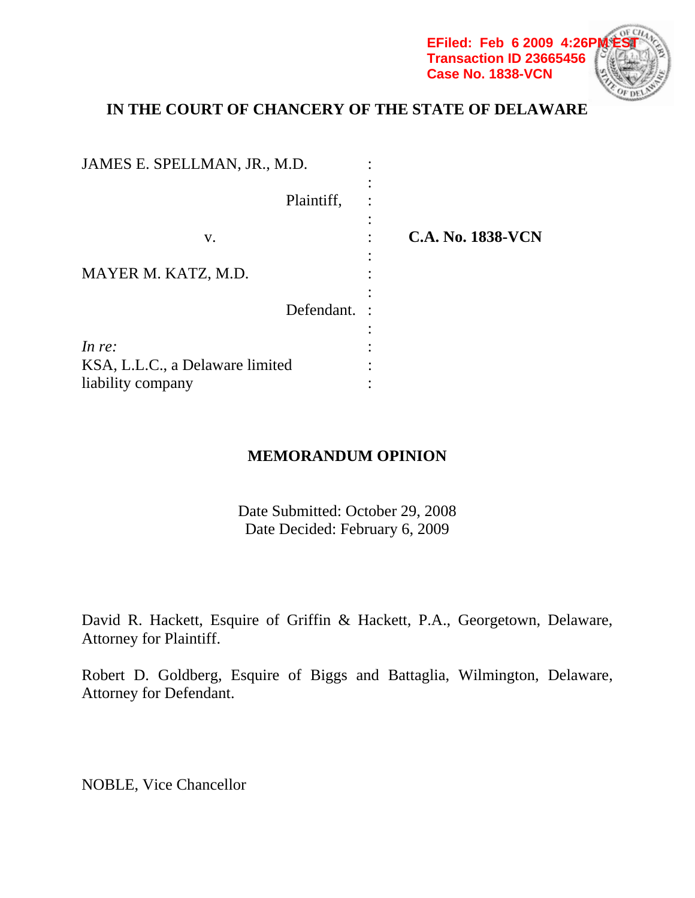**EFiled: Feb 6 2009 4:26P Transaction ID 23665456 Case No. 1838-VCN**

# **IN THE COURT OF CHANCERY OF THE STATE OF DELAWARE**

| JAMES E. SPELLMAN, JR., M.D.    |                          |
|---------------------------------|--------------------------|
| Plaintiff,                      |                          |
| V.                              | <b>C.A. No. 1838-VCN</b> |
| MAYER M. KATZ, M.D.             |                          |
| Defendant.                      |                          |
| In $re$ :                       |                          |
| KSA, L.L.C., a Delaware limited |                          |
| liability company               |                          |

## **MEMORANDUM OPINION**

Date Submitted: October 29, 2008 Date Decided: February 6, 2009

David R. Hackett, Esquire of Griffin & Hackett, P.A., Georgetown, Delaware, Attorney for Plaintiff.

Robert D. Goldberg, Esquire of Biggs and Battaglia, Wilmington, Delaware, Attorney for Defendant.

NOBLE, Vice Chancellor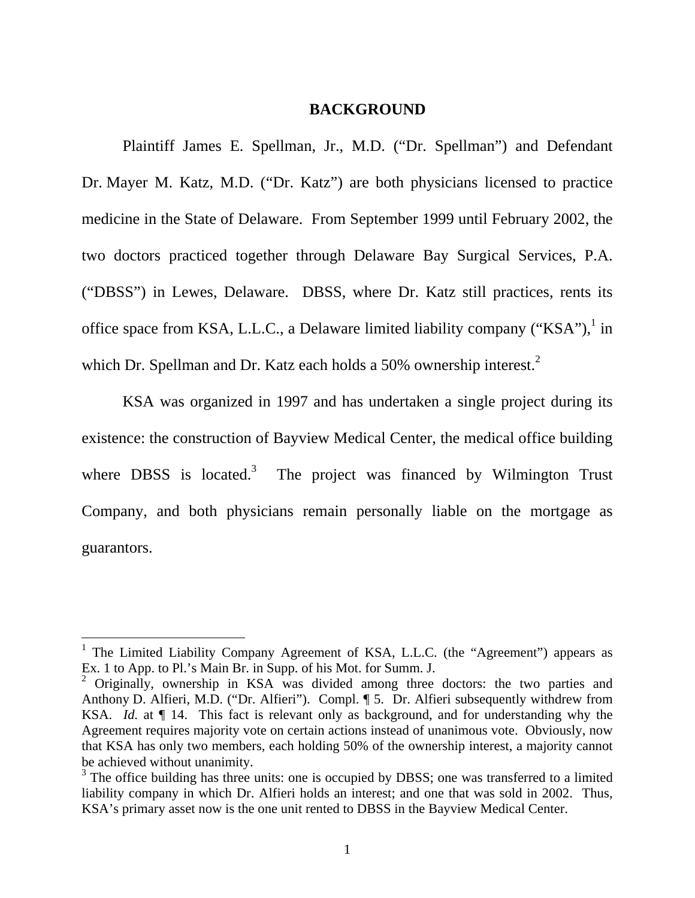#### **BACKGROUND**

Plaintiff James E. Spellman, Jr., M.D. ("Dr. Spellman") and Defendant Dr. Mayer M. Katz, M.D. ("Dr. Katz") are both physicians licensed to practice medicine in the State of Delaware. From September 1999 until February 2002, the two doctors practiced together through Delaware Bay Surgical Services, P.A. ("DBSS") in Lewes, Delaware. DBSS, where Dr. Katz still practices, rents its office space from KSA, L.L.C., a Delaware limited liability company ("KSA"), $^1$  in which Dr. Spellman and Dr. Katz each holds a 50% ownership interest. $2$ 

 KSA was organized in 1997 and has undertaken a single project during its existence: the construction of Bayview Medical Center, the medical office building where DBSS is located.<sup>3</sup> The project was financed by Wilmington Trust Company, and both physicians remain personally liable on the mortgage as guarantors.

<sup>&</sup>lt;sup>1</sup> The Limited Liability Company Agreement of KSA, L.L.C. (the "Agreement") appears as Ex. 1 to App. to Pl.'s Main Br. in Supp. of his Mot. for Summ. J.

<sup>&</sup>lt;sup>2</sup> Originally, ownership in KSA was divided among three doctors: the two parties and Anthony D. Alfieri, M.D. ("Dr. Alfieri"). Compl. ¶ 5. Dr. Alfieri subsequently withdrew from KSA. *Id.* at  $\P$  14. This fact is relevant only as background, and for understanding why the Agreement requires majority vote on certain actions instead of unanimous vote. Obviously, now that KSA has only two members, each holding 50% of the ownership interest, a majority cannot be achieved without unanimity.

 $3$  The office building has three units: one is occupied by DBSS; one was transferred to a limited liability company in which Dr. Alfieri holds an interest; and one that was sold in 2002. Thus, KSA's primary asset now is the one unit rented to DBSS in the Bayview Medical Center.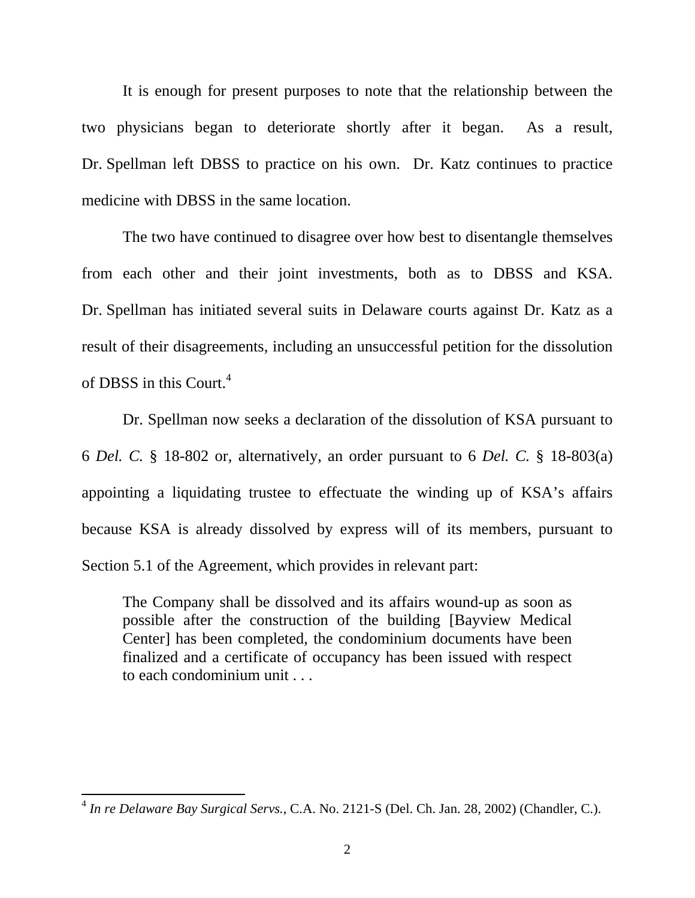It is enough for present purposes to note that the relationship between the two physicians began to deteriorate shortly after it began. As a result, Dr. Spellman left DBSS to practice on his own. Dr. Katz continues to practice medicine with DBSS in the same location.

 The two have continued to disagree over how best to disentangle themselves from each other and their joint investments, both as to DBSS and KSA. Dr. Spellman has initiated several suits in Delaware courts against Dr. Katz as a result of their disagreements, including an unsuccessful petition for the dissolution of DBSS in this Court.<sup>4</sup>

 Dr. Spellman now seeks a declaration of the dissolution of KSA pursuant to 6 *Del. C.* § 18-802 or, alternatively, an order pursuant to 6 *Del. C.* § 18-803(a) appointing a liquidating trustee to effectuate the winding up of KSA's affairs because KSA is already dissolved by express will of its members, pursuant to Section 5.1 of the Agreement, which provides in relevant part:

The Company shall be dissolved and its affairs wound-up as soon as possible after the construction of the building [Bayview Medical Center] has been completed, the condominium documents have been finalized and a certificate of occupancy has been issued with respect to each condominium unit . . .

<sup>4</sup> *In re Delaware Bay Surgical Servs.*, C.A. No. 2121-S (Del. Ch. Jan. 28, 2002) (Chandler, C.).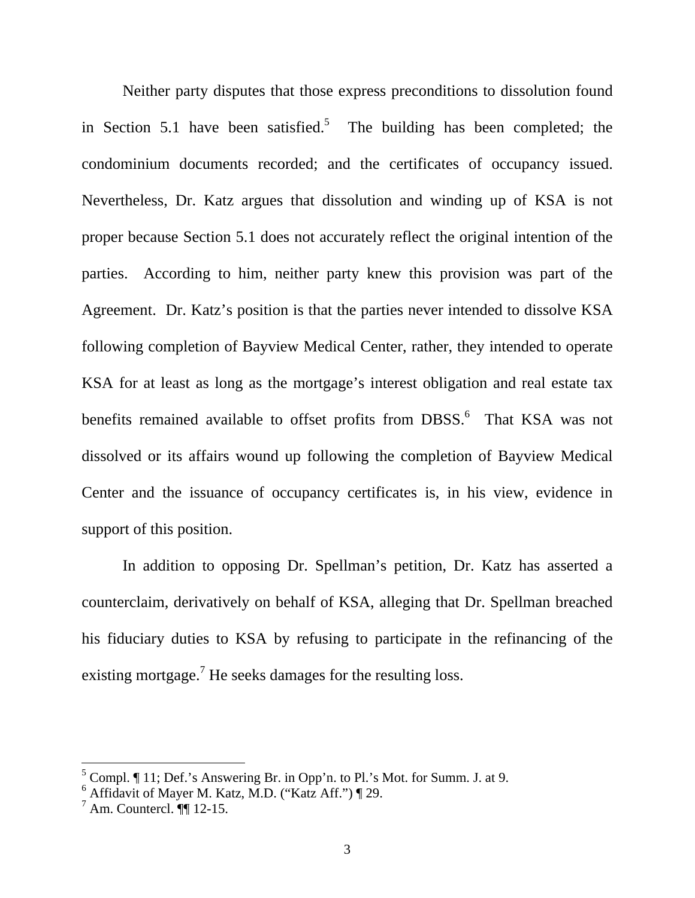Neither party disputes that those express preconditions to dissolution found in Section 5.1 have been satisfied.<sup>5</sup> The building has been completed; the condominium documents recorded; and the certificates of occupancy issued. Nevertheless, Dr. Katz argues that dissolution and winding up of KSA is not proper because Section 5.1 does not accurately reflect the original intention of the parties. According to him, neither party knew this provision was part of the Agreement. Dr. Katz's position is that the parties never intended to dissolve KSA following completion of Bayview Medical Center, rather, they intended to operate KSA for at least as long as the mortgage's interest obligation and real estate tax benefits remained available to offset profits from DBSS.<sup>6</sup> That KSA was not dissolved or its affairs wound up following the completion of Bayview Medical Center and the issuance of occupancy certificates is, in his view, evidence in support of this position.

In addition to opposing Dr. Spellman's petition, Dr. Katz has asserted a counterclaim, derivatively on behalf of KSA, alleging that Dr. Spellman breached his fiduciary duties to KSA by refusing to participate in the refinancing of the existing mortgage.<sup>7</sup> He seeks damages for the resulting loss.

<sup>&</sup>lt;sup>5</sup> Compl. ¶ 11; Def.'s Answering Br. in Opp'n. to Pl.'s Mot. for Summ. J. at 9.

 $6$  Affidavit of Mayer M. Katz, M.D. ("Katz Aff.") [29.

 $^7$  Am. Countercl.  $\P\P$  12-15.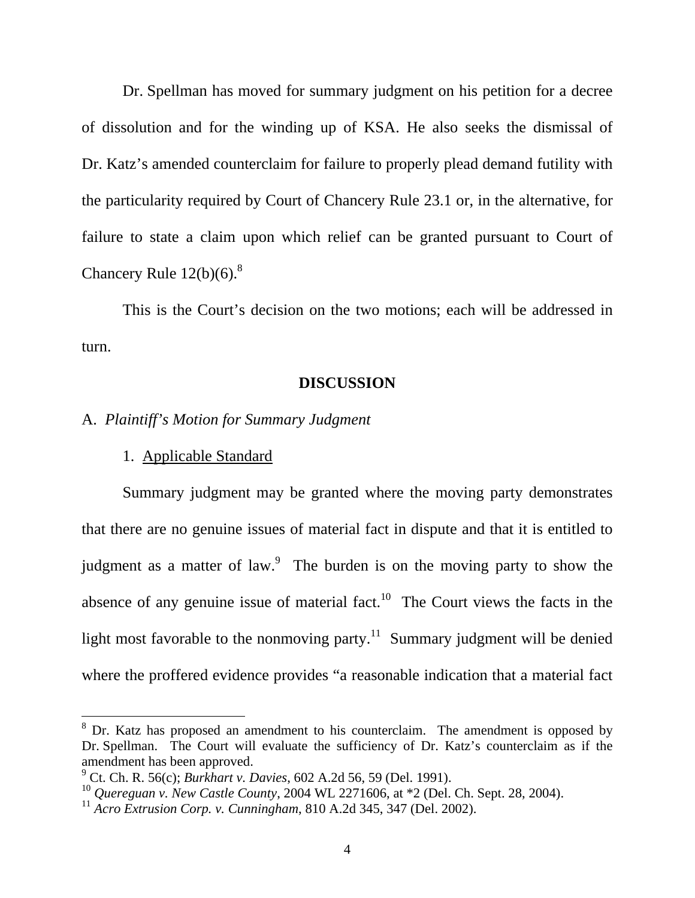Dr. Spellman has moved for summary judgment on his petition for a decree of dissolution and for the winding up of KSA. He also seeks the dismissal of Dr. Katz's amended counterclaim for failure to properly plead demand futility with the particularity required by Court of Chancery Rule 23.1 or, in the alternative, for failure to state a claim upon which relief can be granted pursuant to Court of Chancery Rule  $12(b)(6)$ .<sup>8</sup>

This is the Court's decision on the two motions; each will be addressed in turn.

#### **DISCUSSION**

## A. *Plaintiff's Motion for Summary Judgment*

#### 1. Applicable Standard

Summary judgment may be granted where the moving party demonstrates that there are no genuine issues of material fact in dispute and that it is entitled to judgment as a matter of law.<sup>9</sup> The burden is on the moving party to show the absence of any genuine issue of material fact.<sup>10</sup> The Court views the facts in the light most favorable to the nonmoving party.<sup>11</sup> Summary judgment will be denied where the proffered evidence provides "a reasonable indication that a material fact

<sup>&</sup>lt;sup>8</sup> Dr. Katz has proposed an amendment to his counterclaim. The amendment is opposed by Dr. Spellman. The Court will evaluate the sufficiency of Dr. Katz's counterclaim as if the amendment has been approved.

<sup>9</sup> Ct. Ch. R. 56(c); *Burkhart v. Davies*, 602 A.2d 56, 59 (Del. 1991).

<sup>10</sup> *Quereguan v. New Castle County*, 2004 WL 2271606, at \*2 (Del. Ch. Sept. 28, 2004).

<sup>11</sup> *Acro Extrusion Corp. v. Cunningham*, 810 A.2d 345, 347 (Del. 2002).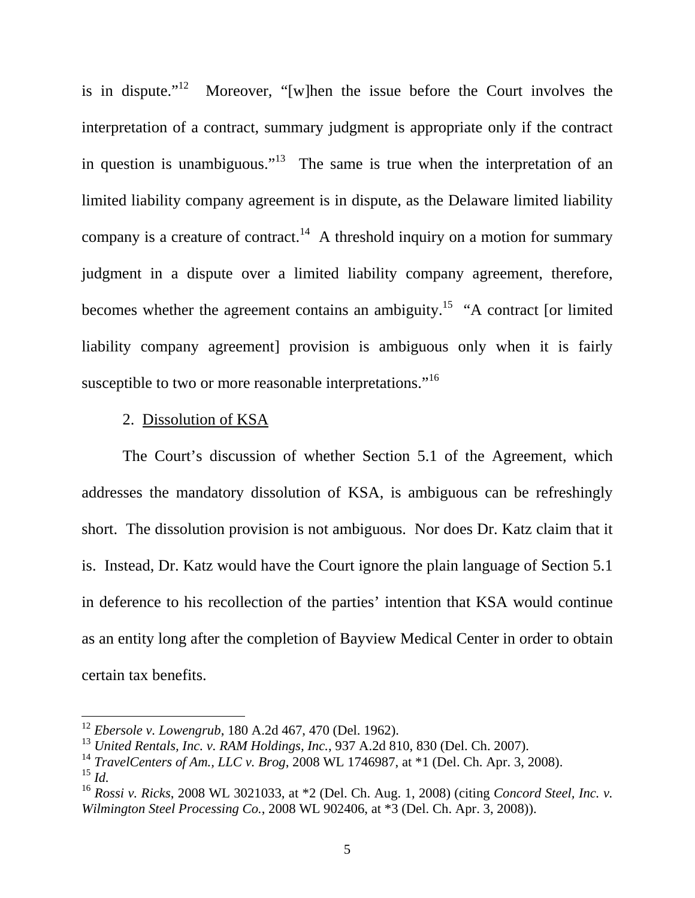is in dispute."<sup>12</sup> Moreover, "[w]hen the issue before the Court involves the interpretation of a contract, summary judgment is appropriate only if the contract in question is unambiguous."<sup>13</sup> The same is true when the interpretation of an limited liability company agreement is in dispute, as the Delaware limited liability company is a creature of contract.<sup>14</sup> A threshold inquiry on a motion for summary judgment in a dispute over a limited liability company agreement, therefore, becomes whether the agreement contains an ambiguity.<sup>15</sup> "A contract [or limited liability company agreement] provision is ambiguous only when it is fairly susceptible to two or more reasonable interpretations."<sup>16</sup>

#### 2. Dissolution of KSA

 The Court's discussion of whether Section 5.1 of the Agreement, which addresses the mandatory dissolution of KSA, is ambiguous can be refreshingly short. The dissolution provision is not ambiguous. Nor does Dr. Katz claim that it is. Instead, Dr. Katz would have the Court ignore the plain language of Section 5.1 in deference to his recollection of the parties' intention that KSA would continue as an entity long after the completion of Bayview Medical Center in order to obtain certain tax benefits.

<sup>12</sup> *Ebersole v. Lowengrub*, 180 A.2d 467, 470 (Del. 1962).

<sup>13</sup> *United Rentals, Inc. v. RAM Holdings, Inc.*, 937 A.2d 810, 830 (Del. Ch. 2007).

<sup>14</sup> *TravelCenters of Am., LLC v. Brog*, 2008 WL 1746987, at \*1 (Del. Ch. Apr. 3, 2008).

<sup>15</sup> *Id.*

<sup>16</sup> *Rossi v. Ricks*, 2008 WL 3021033, at \*2 (Del. Ch. Aug. 1, 2008) (citing *Concord Steel, Inc. v. Wilmington Steel Processing Co.*, 2008 WL 902406, at \*3 (Del. Ch. Apr. 3, 2008)).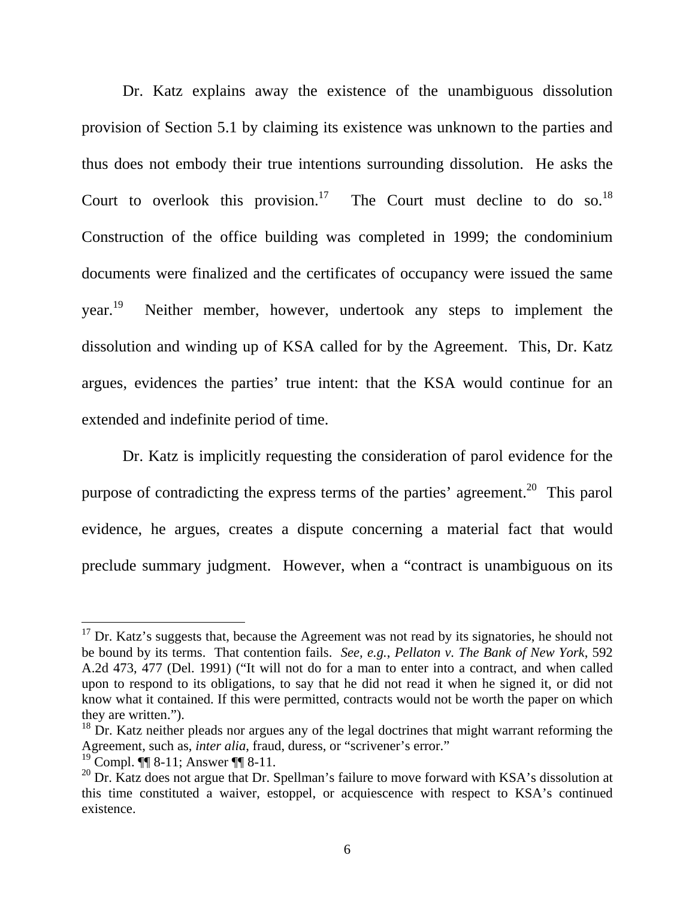Dr. Katz explains away the existence of the unambiguous dissolution provision of Section 5.1 by claiming its existence was unknown to the parties and thus does not embody their true intentions surrounding dissolution. He asks the Court to overlook this provision.<sup>17</sup> The Court must decline to do so.<sup>18</sup> Construction of the office building was completed in 1999; the condominium documents were finalized and the certificates of occupancy were issued the same year.<sup>19</sup> Neither member, however, undertook any steps to implement the dissolution and winding up of KSA called for by the Agreement. This, Dr. Katz argues, evidences the parties' true intent: that the KSA would continue for an extended and indefinite period of time.

Dr. Katz is implicitly requesting the consideration of parol evidence for the purpose of contradicting the express terms of the parties' agreement.<sup>20</sup> This parol evidence, he argues, creates a dispute concerning a material fact that would preclude summary judgment. However, when a "contract is unambiguous on its

 $17$  Dr. Katz's suggests that, because the Agreement was not read by its signatories, he should not be bound by its terms. That contention fails. *See, e.g.*, *Pellaton v. The Bank of New York*, 592 A.2d 473, 477 (Del. 1991) ("It will not do for a man to enter into a contract, and when called upon to respond to its obligations, to say that he did not read it when he signed it, or did not know what it contained. If this were permitted, contracts would not be worth the paper on which they are written.").

<sup>&</sup>lt;sup>18</sup> Dr. Katz neither pleads nor argues any of the legal doctrines that might warrant reforming the Agreement, such as, *inter alia*, fraud, duress, or "scrivener's error."

<sup>19</sup> Compl. ¶¶ 8-11; Answer ¶¶ 8-11.

 $^{20}$  Dr. Katz does not argue that Dr. Spellman's failure to move forward with KSA's dissolution at this time constituted a waiver, estoppel, or acquiescence with respect to KSA's continued existence.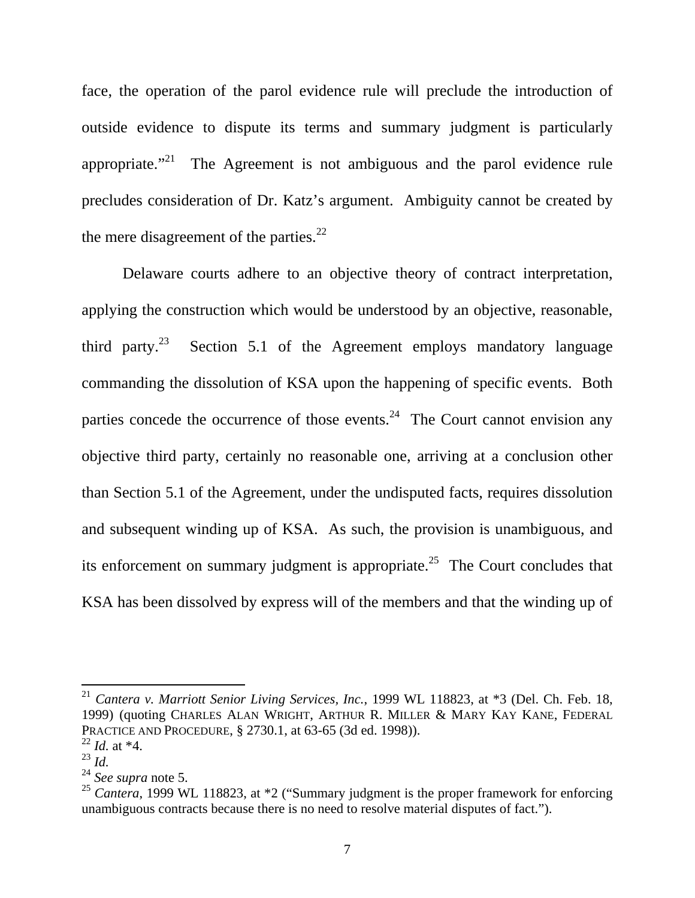face, the operation of the parol evidence rule will preclude the introduction of outside evidence to dispute its terms and summary judgment is particularly appropriate. $1^{21}$  The Agreement is not ambiguous and the parol evidence rule precludes consideration of Dr. Katz's argument. Ambiguity cannot be created by the mere disagreement of the parties. $^{22}$ 

Delaware courts adhere to an objective theory of contract interpretation, applying the construction which would be understood by an objective, reasonable, third party.<sup>23</sup> Section 5.1 of the Agreement employs mandatory language commanding the dissolution of KSA upon the happening of specific events. Both parties concede the occurrence of those events.<sup>24</sup> The Court cannot envision any objective third party, certainly no reasonable one, arriving at a conclusion other than Section 5.1 of the Agreement, under the undisputed facts, requires dissolution and subsequent winding up of KSA. As such, the provision is unambiguous, and its enforcement on summary judgment is appropriate.<sup>25</sup> The Court concludes that KSA has been dissolved by express will of the members and that the winding up of

<sup>21</sup> *Cantera v. Marriott Senior Living Services, Inc.*, 1999 WL 118823, at \*3 (Del. Ch. Feb. 18, 1999) (quoting CHARLES ALAN WRIGHT, ARTHUR R. MILLER & MARY KAY KANE, FEDERAL PRACTICE AND PROCEDURE, § 2730.1, at 63-65 (3d ed. 1998)).

<sup>22</sup> *Id.* at \*4.

<sup>23</sup> *Id.*

<sup>24</sup> *See supra* note 5.

<sup>&</sup>lt;sup>25</sup> *Cantera*, 1999 WL 118823, at \*2 ("Summary judgment is the proper framework for enforcing unambiguous contracts because there is no need to resolve material disputes of fact.").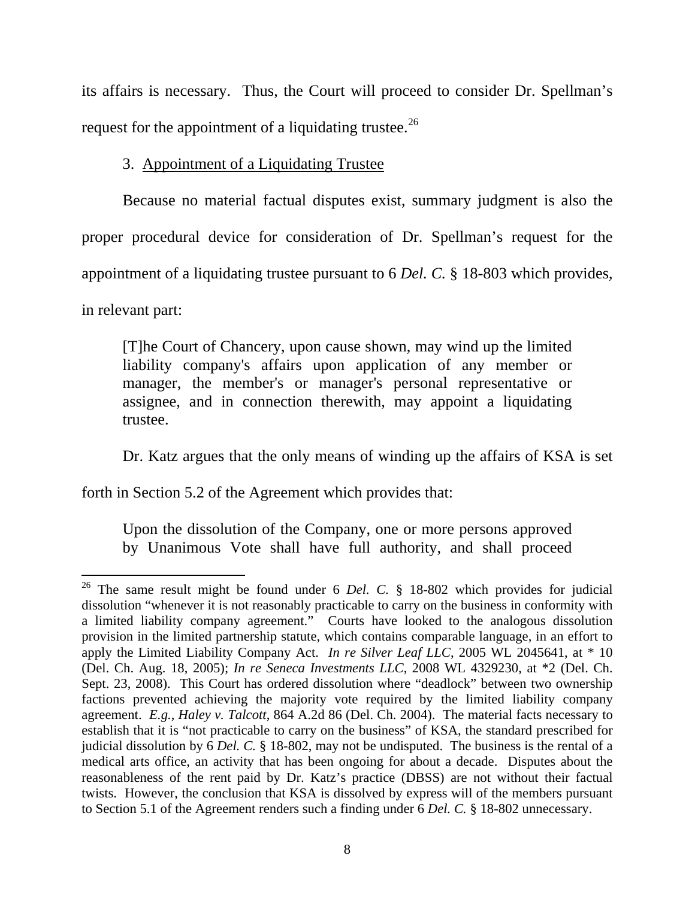its affairs is necessary. Thus, the Court will proceed to consider Dr. Spellman's request for the appointment of a liquidating trustee.<sup>26</sup>

## 3. Appointment of a Liquidating Trustee

Because no material factual disputes exist, summary judgment is also the proper procedural device for consideration of Dr. Spellman's request for the appointment of a liquidating trustee pursuant to 6 *Del. C.* § 18-803 which provides,

in relevant part:

 $\overline{a}$ 

[T]he Court of Chancery, upon cause shown, may wind up the limited liability company's affairs upon application of any member or manager, the member's or manager's personal representative or assignee, and in connection therewith, may appoint a liquidating trustee.

Dr. Katz argues that the only means of winding up the affairs of KSA is set

forth in Section 5.2 of the Agreement which provides that:

Upon the dissolution of the Company, one or more persons approved by Unanimous Vote shall have full authority, and shall proceed

<sup>26</sup> The same result might be found under 6 *Del. C.* § 18-802 which provides for judicial dissolution "whenever it is not reasonably practicable to carry on the business in conformity with a limited liability company agreement." Courts have looked to the analogous dissolution provision in the limited partnership statute, which contains comparable language, in an effort to apply the Limited Liability Company Act. *In re Silver Leaf LLC*, 2005 WL 2045641, at \* 10 (Del. Ch. Aug. 18, 2005); *In re Seneca Investments LLC*, 2008 WL 4329230, at \*2 (Del. Ch. Sept. 23, 2008). This Court has ordered dissolution where "deadlock" between two ownership factions prevented achieving the majority vote required by the limited liability company agreement. *E.g.*, *Haley v. Talcott*, 864 A.2d 86 (Del. Ch. 2004). The material facts necessary to establish that it is "not practicable to carry on the business" of KSA, the standard prescribed for judicial dissolution by 6 *Del. C.* § 18-802, may not be undisputed. The business is the rental of a medical arts office, an activity that has been ongoing for about a decade. Disputes about the reasonableness of the rent paid by Dr. Katz's practice (DBSS) are not without their factual twists. However, the conclusion that KSA is dissolved by express will of the members pursuant to Section 5.1 of the Agreement renders such a finding under 6 *Del. C.* § 18-802 unnecessary.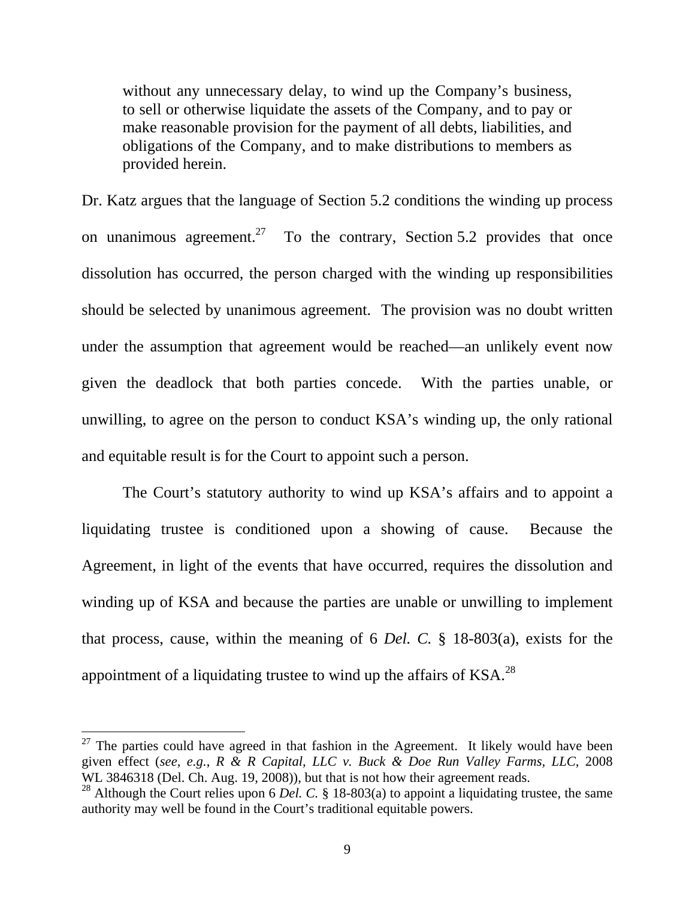without any unnecessary delay, to wind up the Company's business, to sell or otherwise liquidate the assets of the Company, and to pay or make reasonable provision for the payment of all debts, liabilities, and obligations of the Company, and to make distributions to members as provided herein.

Dr. Katz argues that the language of Section 5.2 conditions the winding up process on unanimous agreement.<sup>27</sup> To the contrary, Section 5.2 provides that once dissolution has occurred, the person charged with the winding up responsibilities should be selected by unanimous agreement. The provision was no doubt written under the assumption that agreement would be reached—an unlikely event now given the deadlock that both parties concede. With the parties unable, or unwilling, to agree on the person to conduct KSA's winding up, the only rational and equitable result is for the Court to appoint such a person.

 The Court's statutory authority to wind up KSA's affairs and to appoint a liquidating trustee is conditioned upon a showing of cause. Because the Agreement, in light of the events that have occurred, requires the dissolution and winding up of KSA and because the parties are unable or unwilling to implement that process, cause, within the meaning of 6 *Del. C.* § 18-803(a), exists for the appointment of a liquidating trustee to wind up the affairs of  $KSA$ <sup>28</sup>

 $27$  The parties could have agreed in that fashion in the Agreement. It likely would have been given effect (*see, e.g.*, *R & R Capital, LLC v. Buck & Doe Run Valley Farms, LLC*, 2008 WL 3846318 (Del. Ch. Aug. 19, 2008)), but that is not how their agreement reads.

<sup>&</sup>lt;sup>28</sup> Although the Court relies upon 6 *Del. C.* § 18-803(a) to appoint a liquidating trustee, the same authority may well be found in the Court's traditional equitable powers.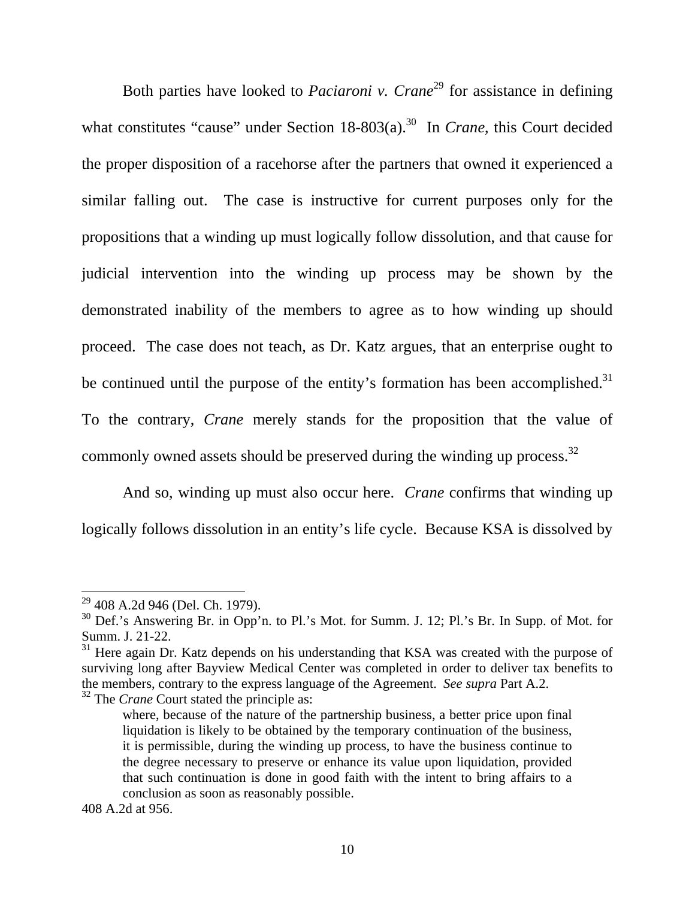Both parties have looked to *Paciaroni v. Crane*<sup>29</sup> for assistance in defining what constitutes "cause" under Section 18-803(a).<sup>30</sup> In *Crane*, this Court decided the proper disposition of a racehorse after the partners that owned it experienced a similar falling out. The case is instructive for current purposes only for the propositions that a winding up must logically follow dissolution, and that cause for judicial intervention into the winding up process may be shown by the demonstrated inability of the members to agree as to how winding up should proceed. The case does not teach, as Dr. Katz argues, that an enterprise ought to be continued until the purpose of the entity's formation has been accomplished.<sup>31</sup> To the contrary, *Crane* merely stands for the proposition that the value of commonly owned assets should be preserved during the winding up process.<sup>32</sup>

And so, winding up must also occur here. *Crane* confirms that winding up logically follows dissolution in an entity's life cycle. Because KSA is dissolved by

<sup>&</sup>lt;sup>29</sup> 408 A.2d 946 (Del. Ch. 1979).

<sup>&</sup>lt;sup>30</sup> Def.'s Answering Br. in Opp'n. to Pl.'s Mot. for Summ. J. 12; Pl.'s Br. In Supp. of Mot. for Summ. J. 21-22.

 $31$  Here again Dr. Katz depends on his understanding that KSA was created with the purpose of surviving long after Bayview Medical Center was completed in order to deliver tax benefits to the members, contrary to the express language of the Agreement. *See supra* Part A.2.

<sup>&</sup>lt;sup>32</sup> The *Crane* Court stated the principle as:

where, because of the nature of the partnership business, a better price upon final liquidation is likely to be obtained by the temporary continuation of the business, it is permissible, during the winding up process, to have the business continue to the degree necessary to preserve or enhance its value upon liquidation, provided that such continuation is done in good faith with the intent to bring affairs to a conclusion as soon as reasonably possible.

<sup>408</sup> A.2d at 956.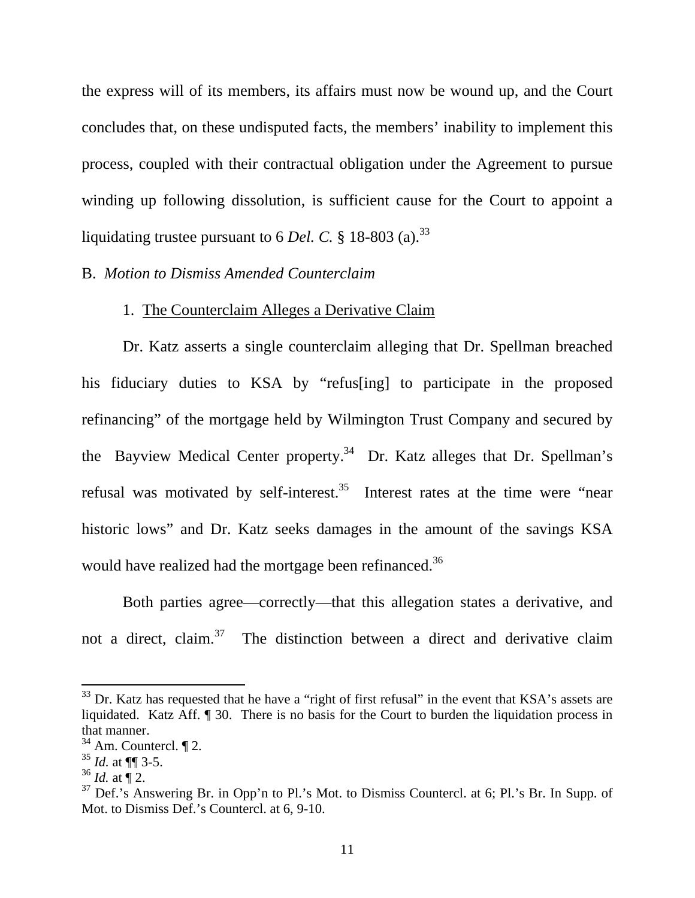the express will of its members, its affairs must now be wound up, and the Court concludes that, on these undisputed facts, the members' inability to implement this process, coupled with their contractual obligation under the Agreement to pursue winding up following dissolution, is sufficient cause for the Court to appoint a liquidating trustee pursuant to 6 *Del. C.* § 18-803 (a).<sup>33</sup>

#### B. *Motion to Dismiss Amended Counterclaim*

### 1. The Counterclaim Alleges a Derivative Claim

Dr. Katz asserts a single counterclaim alleging that Dr. Spellman breached his fiduciary duties to KSA by "refus[ing] to participate in the proposed refinancing" of the mortgage held by Wilmington Trust Company and secured by the Bayview Medical Center property.<sup>34</sup> Dr. Katz alleges that Dr. Spellman's refusal was motivated by self-interest.<sup>35</sup> Interest rates at the time were "near" historic lows" and Dr. Katz seeks damages in the amount of the savings KSA would have realized had the mortgage been refinanced.<sup>36</sup>

Both parties agree—correctly—that this allegation states a derivative, and not a direct, claim.<sup>37</sup> The distinction between a direct and derivative claim

 $33$  Dr. Katz has requested that he have a "right of first refusal" in the event that KSA's assets are liquidated. Katz Aff. ¶ 30. There is no basis for the Court to burden the liquidation process in that manner.

 $34$  Am. Countercl.  $\P$  2.

 $35$  *Id.* at  $\P\P$  3-5.

 $36$  *Id.* at  $\P$  2.

 $37$  Def.'s Answering Br. in Opp'n to Pl.'s Mot. to Dismiss Countercl. at 6; Pl.'s Br. In Supp. of Mot. to Dismiss Def.'s Countercl. at 6, 9-10.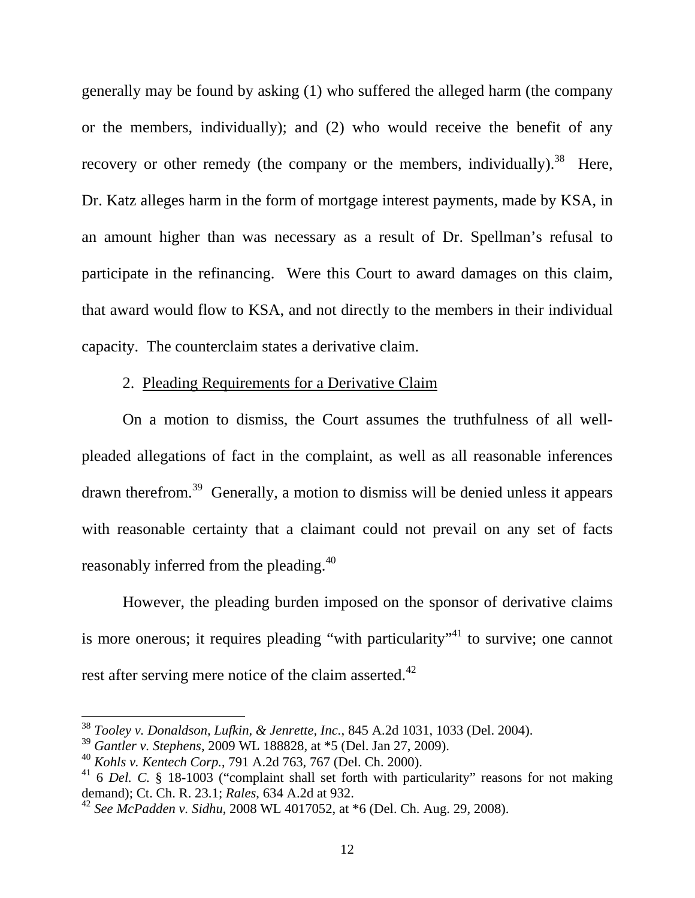generally may be found by asking (1) who suffered the alleged harm (the company or the members, individually); and (2) who would receive the benefit of any recovery or other remedy (the company or the members, individually).<sup>38</sup> Here, Dr. Katz alleges harm in the form of mortgage interest payments, made by KSA, in an amount higher than was necessary as a result of Dr. Spellman's refusal to participate in the refinancing. Were this Court to award damages on this claim, that award would flow to KSA, and not directly to the members in their individual capacity. The counterclaim states a derivative claim.

## 2. Pleading Requirements for a Derivative Claim

On a motion to dismiss, the Court assumes the truthfulness of all wellpleaded allegations of fact in the complaint, as well as all reasonable inferences drawn therefrom.39 Generally, a motion to dismiss will be denied unless it appears with reasonable certainty that a claimant could not prevail on any set of facts reasonably inferred from the pleading.<sup>40</sup>

However, the pleading burden imposed on the sponsor of derivative claims is more onerous; it requires pleading "with particularity"<sup>41</sup> to survive; one cannot rest after serving mere notice of the claim asserted.<sup>42</sup>

<sup>38</sup> *Tooley v. Donaldson, Lufkin, & Jenrette, Inc.*, 845 A.2d 1031, 1033 (Del. 2004).

<sup>39</sup> *Gantler v. Stephens*, 2009 WL 188828, at \*5 (Del. Jan 27, 2009).

<sup>40</sup> *Kohls v. Kentech Corp.*, 791 A.2d 763, 767 (Del. Ch. 2000).

<sup>&</sup>lt;sup>41</sup> 6 *Del.* C. § 18-1003 ("complaint shall set forth with particularity" reasons for not making demand); Ct. Ch. R. 23.1; *Rales*, 634 A.2d at 932.

<sup>42</sup> *See McPadden v. Sidhu*, 2008 WL 4017052, at \*6 (Del. Ch. Aug. 29, 2008).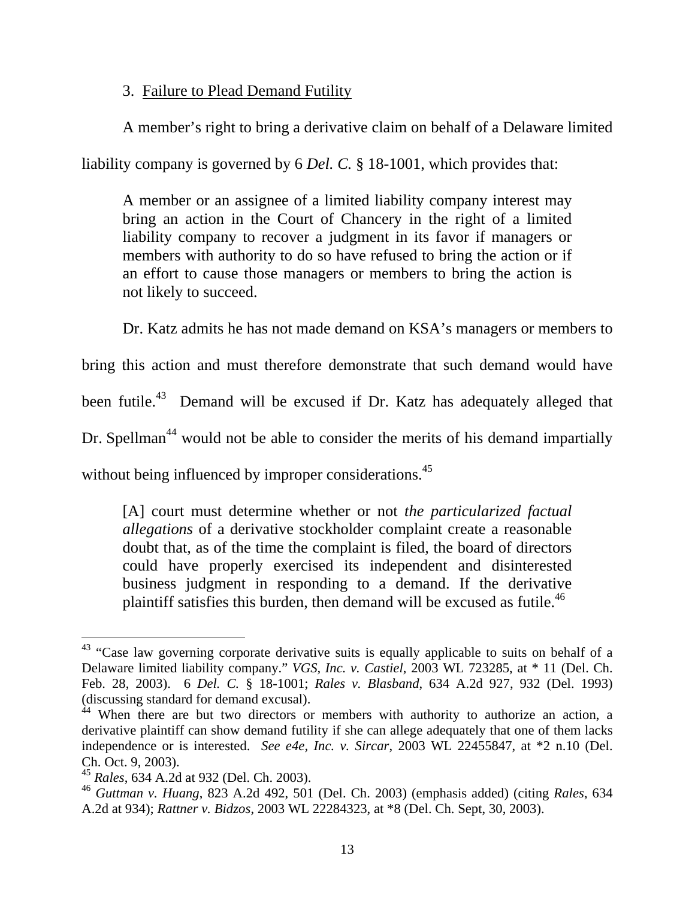3. Failure to Plead Demand Futility

A member's right to bring a derivative claim on behalf of a Delaware limited

liability company is governed by 6 *Del. C.* § 18-1001, which provides that:

A member or an assignee of a limited liability company interest may bring an action in the Court of Chancery in the right of a limited liability company to recover a judgment in its favor if managers or members with authority to do so have refused to bring the action or if an effort to cause those managers or members to bring the action is not likely to succeed.

Dr. Katz admits he has not made demand on KSA's managers or members to

bring this action and must therefore demonstrate that such demand would have

been futile.<sup>43</sup> Demand will be excused if Dr. Katz has adequately alleged that

Dr. Spellman<sup>44</sup> would not be able to consider the merits of his demand impartially

without being influenced by improper considerations.<sup>45</sup>

[A] court must determine whether or not *the particularized factual allegations* of a derivative stockholder complaint create a reasonable doubt that, as of the time the complaint is filed, the board of directors could have properly exercised its independent and disinterested business judgment in responding to a demand. If the derivative plaintiff satisfies this burden, then demand will be excused as futile.<sup>46</sup>

 $\overline{a}$  $43$  "Case law governing corporate derivative suits is equally applicable to suits on behalf of a Delaware limited liability company." *VGS, Inc. v. Castiel*, 2003 WL 723285, at \* 11 (Del. Ch. Feb. 28, 2003). 6 *Del. C.* § 18-1001; *Rales v. Blasband*, 634 A.2d 927, 932 (Del. 1993) (discussing standard for demand excusal).

 $44$  When there are but two directors or members with authority to authorize an action, a derivative plaintiff can show demand futility if she can allege adequately that one of them lacks independence or is interested. *See e4e, Inc. v. Sircar*, 2003 WL 22455847, at \*2 n.10 (Del. Ch. Oct. 9, 2003).

<sup>45</sup> *Rales*, 634 A.2d at 932 (Del. Ch. 2003).

<sup>46</sup> *Guttman v. Huang*, 823 A.2d 492, 501 (Del. Ch. 2003) (emphasis added) (citing *Rales*, 634 A.2d at 934); *Rattner v. Bidzos*, 2003 WL 22284323, at \*8 (Del. Ch. Sept, 30, 2003).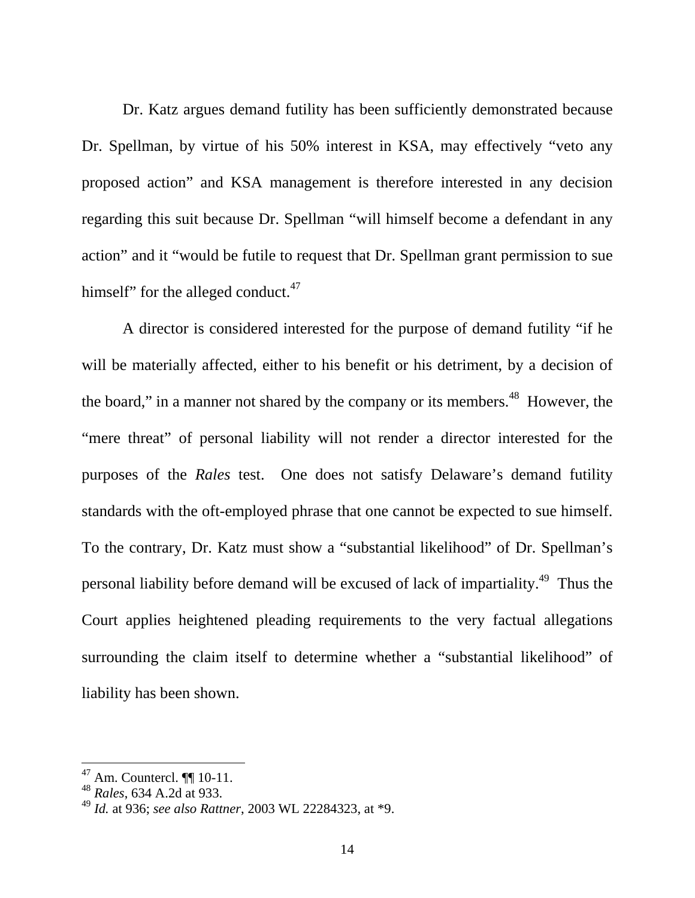Dr. Katz argues demand futility has been sufficiently demonstrated because Dr. Spellman, by virtue of his 50% interest in KSA, may effectively "veto any proposed action" and KSA management is therefore interested in any decision regarding this suit because Dr. Spellman "will himself become a defendant in any action" and it "would be futile to request that Dr. Spellman grant permission to sue himself" for the alleged conduct. $47$ 

 A director is considered interested for the purpose of demand futility "if he will be materially affected, either to his benefit or his detriment, by a decision of the board," in a manner not shared by the company or its members.<sup>48</sup> However, the "mere threat" of personal liability will not render a director interested for the purposes of the *Rales* test. One does not satisfy Delaware's demand futility standards with the oft-employed phrase that one cannot be expected to sue himself. To the contrary, Dr. Katz must show a "substantial likelihood" of Dr. Spellman's personal liability before demand will be excused of lack of impartiality.49 Thus the Court applies heightened pleading requirements to the very factual allegations surrounding the claim itself to determine whether a "substantial likelihood" of liability has been shown.

 $47$  Am. Countercl.  $\P\P$  10-11.

<sup>48</sup> *Rales*, 634 A.2d at 933.

<sup>49</sup> *Id.* at 936; *see also Rattner*, 2003 WL 22284323, at \*9.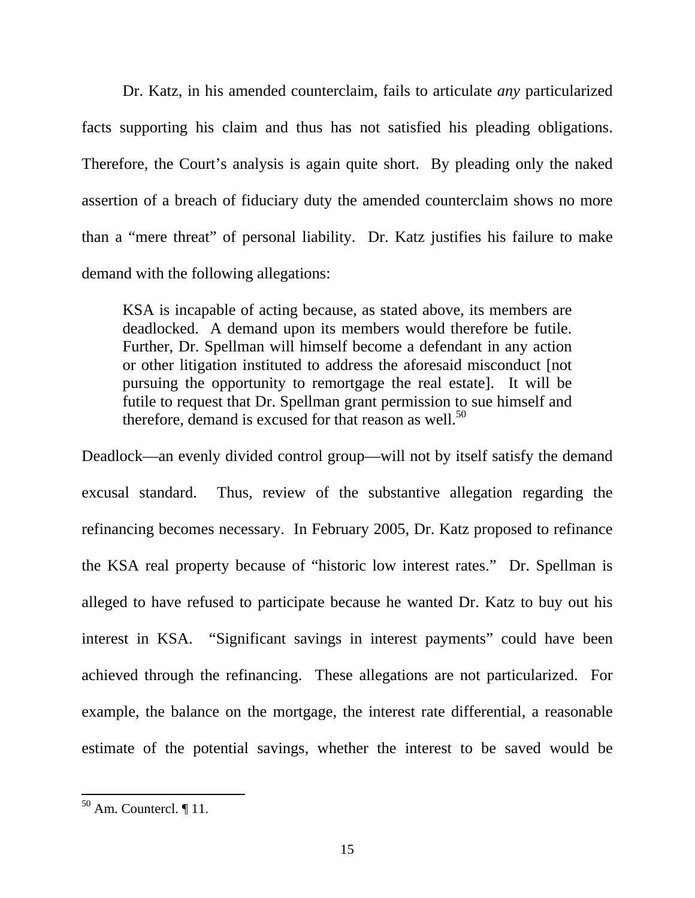Dr. Katz, in his amended counterclaim, fails to articulate *any* particularized facts supporting his claim and thus has not satisfied his pleading obligations. Therefore, the Court's analysis is again quite short. By pleading only the naked assertion of a breach of fiduciary duty the amended counterclaim shows no more than a "mere threat" of personal liability. Dr. Katz justifies his failure to make demand with the following allegations:

KSA is incapable of acting because, as stated above, its members are deadlocked. A demand upon its members would therefore be futile. Further, Dr. Spellman will himself become a defendant in any action or other litigation instituted to address the aforesaid misconduct [not pursuing the opportunity to remortgage the real estate]. It will be futile to request that Dr. Spellman grant permission to sue himself and therefore, demand is excused for that reason as well. $50$ 

Deadlock—an evenly divided control group—will not by itself satisfy the demand excusal standard. Thus, review of the substantive allegation regarding the refinancing becomes necessary. In February 2005, Dr. Katz proposed to refinance the KSA real property because of "historic low interest rates." Dr. Spellman is alleged to have refused to participate because he wanted Dr. Katz to buy out his interest in KSA. "Significant savings in interest payments" could have been achieved through the refinancing. These allegations are not particularized. For example, the balance on the mortgage, the interest rate differential, a reasonable estimate of the potential savings, whether the interest to be saved would be

 $50$  Am. Countercl.  $\P$  11.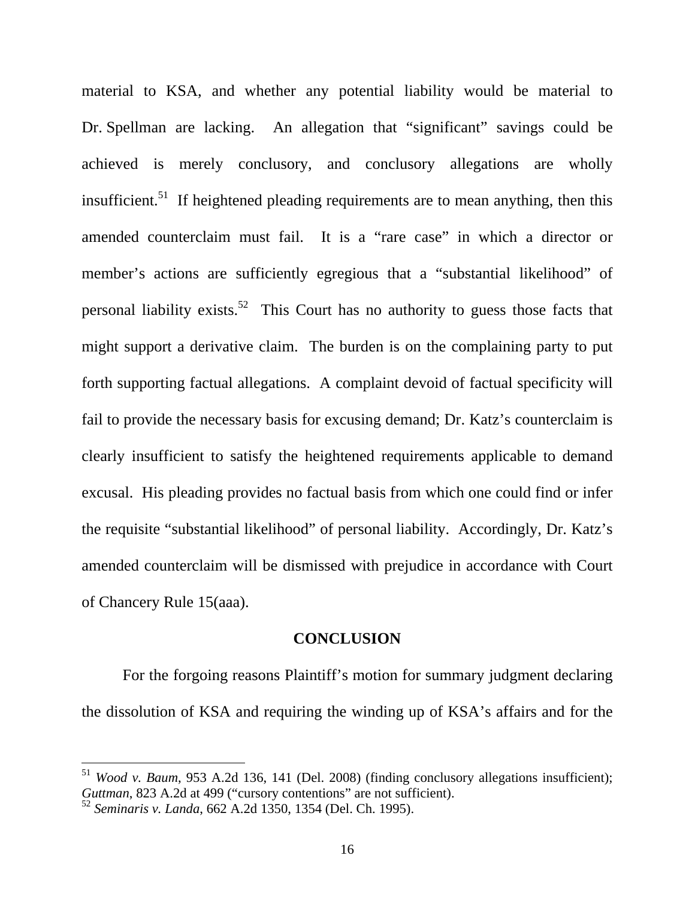material to KSA, and whether any potential liability would be material to Dr. Spellman are lacking. An allegation that "significant" savings could be achieved is merely conclusory, and conclusory allegations are wholly insufficient.<sup>51</sup> If heightened pleading requirements are to mean anything, then this amended counterclaim must fail. It is a "rare case" in which a director or member's actions are sufficiently egregious that a "substantial likelihood" of personal liability exists.<sup>52</sup> This Court has no authority to guess those facts that might support a derivative claim. The burden is on the complaining party to put forth supporting factual allegations. A complaint devoid of factual specificity will fail to provide the necessary basis for excusing demand; Dr. Katz's counterclaim is clearly insufficient to satisfy the heightened requirements applicable to demand excusal. His pleading provides no factual basis from which one could find or infer the requisite "substantial likelihood" of personal liability. Accordingly, Dr. Katz's amended counterclaim will be dismissed with prejudice in accordance with Court of Chancery Rule 15(aaa).

#### **CONCLUSION**

For the forgoing reasons Plaintiff's motion for summary judgment declaring the dissolution of KSA and requiring the winding up of KSA's affairs and for the

<sup>51</sup> *Wood v. Baum*, 953 A.2d 136, 141 (Del. 2008) (finding conclusory allegations insufficient); *Guttman*, 823 A.2d at 499 ("cursory contentions" are not sufficient).

<sup>52</sup> *Seminaris v. Landa*, 662 A.2d 1350, 1354 (Del. Ch. 1995).